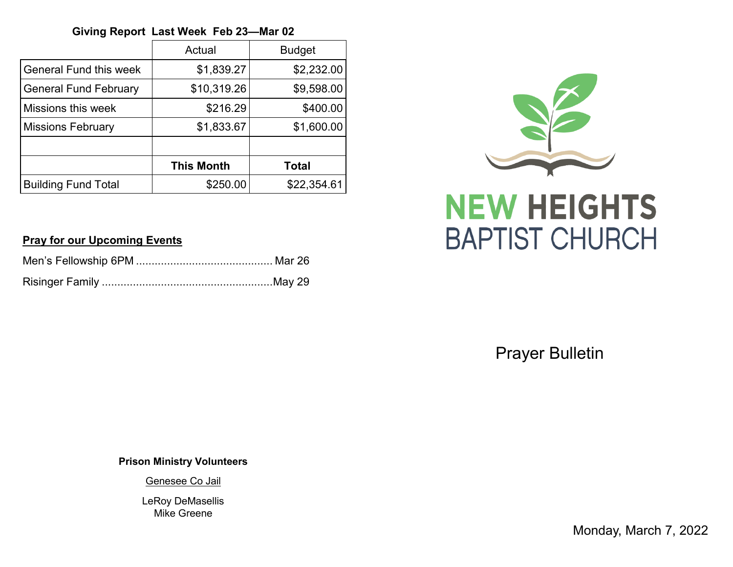#### **Givino Report Last Week Feb 23—Mar 02**

|                               | Actual            | <b>Budget</b> |
|-------------------------------|-------------------|---------------|
| <b>General Fund this week</b> | \$1,839.27        | \$2,232.00    |
| <b>General Fund February</b>  | \$10,319.26       | \$9,598.00    |
| Missions this week            | \$216.29          | \$400.00      |
| <b>Missions February</b>      | \$1,833.67        | \$1,600.00    |
|                               |                   |               |
|                               | <b>This Month</b> | <b>Total</b>  |
| <b>Building Fund Total</b>    | \$250.00          | \$22,354.61   |



# **NEW HEIGHTS BAPTIST CHURCH**

#### **Pray for our Upcoming Events**

Prayer Bulletin

**Prison Ministry Volunteers** 

Genesee Co Jail

LeRoy DeMasellis Mike Greene

Monday, March 7, 2022